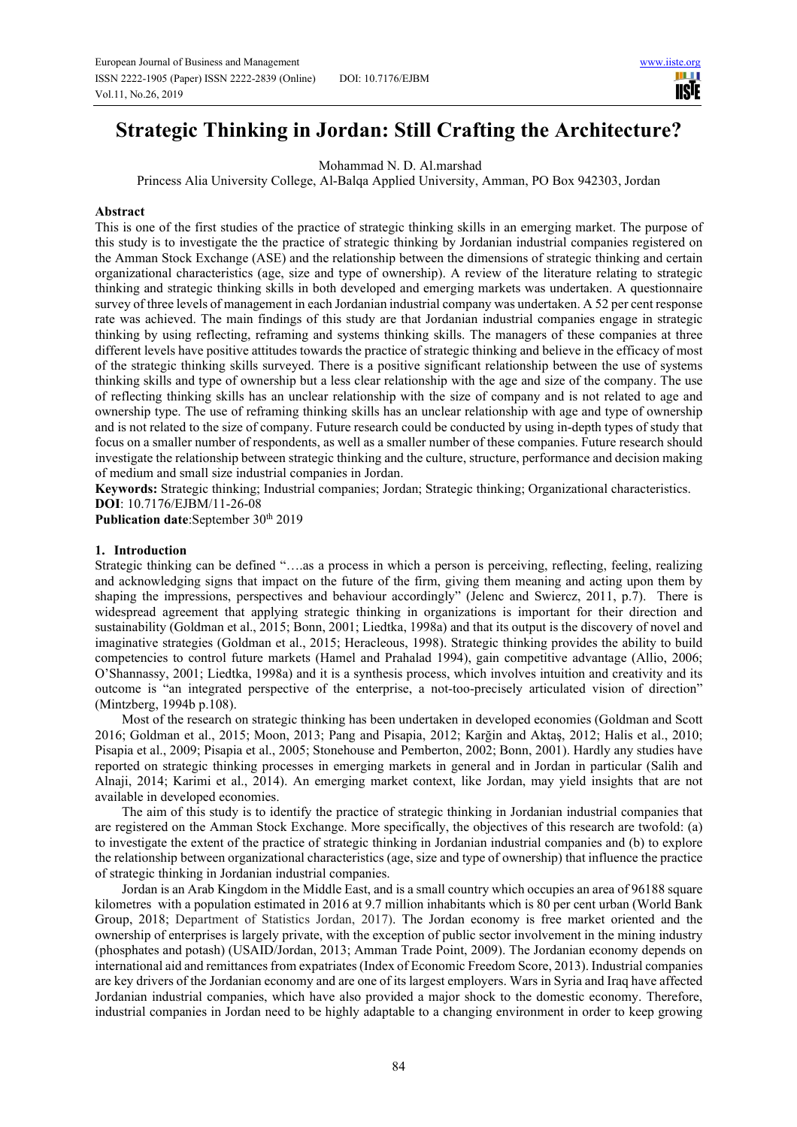HH I **IISTE** 

# **Strategic Thinking in Jordan: Still Crafting the Architecture?**

Mohammad N. D. Al.marshad

Princess Alia University College, Al-Balqa Applied University, Amman, PO Box 942303, Jordan

# **Abstract**

This is one of the first studies of the practice of strategic thinking skills in an emerging market. The purpose of this study is to investigate the the practice of strategic thinking by Jordanian industrial companies registered on the Amman Stock Exchange (ASE) and the relationship between the dimensions of strategic thinking and certain organizational characteristics (age, size and type of ownership). A review of the literature relating to strategic thinking and strategic thinking skills in both developed and emerging markets was undertaken. A questionnaire survey of three levels of management in each Jordanian industrial company was undertaken. A 52 per cent response rate was achieved. The main findings of this study are that Jordanian industrial companies engage in strategic thinking by using reflecting, reframing and systems thinking skills. The managers of these companies at three different levels have positive attitudes towards the practice of strategic thinking and believe in the efficacy of most of the strategic thinking skills surveyed. There is a positive significant relationship between the use of systems thinking skills and type of ownership but a less clear relationship with the age and size of the company. The use of reflecting thinking skills has an unclear relationship with the size of company and is not related to age and ownership type. The use of reframing thinking skills has an unclear relationship with age and type of ownership and is not related to the size of company. Future research could be conducted by using in-depth types of study that focus on a smaller number of respondents, as well as a smaller number of these companies. Future research should investigate the relationship between strategic thinking and the culture, structure, performance and decision making of medium and small size industrial companies in Jordan.

**Keywords:** Strategic thinking; Industrial companies; Jordan; Strategic thinking; Organizational characteristics. **DOI**: 10.7176/EJBM/11-26-08

Publication date:September 30<sup>th</sup> 2019

## **1. Introduction**

Strategic thinking can be defined "….as a process in which a person is perceiving, reflecting, feeling, realizing and acknowledging signs that impact on the future of the firm, giving them meaning and acting upon them by shaping the impressions, perspectives and behaviour accordingly" (Jelenc and Swiercz, 2011, p.7).There is widespread agreement that applying strategic thinking in organizations is important for their direction and sustainability (Goldman et al., 2015; Bonn, 2001; Liedtka, 1998a) and that its output is the discovery of novel and imaginative strategies (Goldman et al., 2015; Heracleous, 1998). Strategic thinking provides the ability to build competencies to control future markets (Hamel and Prahalad 1994), gain competitive advantage (Allio, 2006; O'Shannassy, 2001; Liedtka, 1998a) and it is a synthesis process, which involves intuition and creativity and its outcome is "an integrated perspective of the enterprise, a not-too-precisely articulated vision of direction" (Mintzberg, 1994b p.108).

Most of the research on strategic thinking has been undertaken in developed economies (Goldman and Scott 2016; Goldman et al., 2015; Moon, 2013; Pang and Pisapia, 2012; Karğin and Aktaş, 2012; Halis et al., 2010; Pisapia et al., 2009; Pisapia et al., 2005; Stonehouse and Pemberton, 2002; Bonn, 2001). Hardly any studies have reported on strategic thinking processes in emerging markets in general and in Jordan in particular (Salih and Alnaji, 2014; Karimi et al., 2014). An emerging market context, like Jordan, may yield insights that are not available in developed economies.

The aim of this study is to identify the practice of strategic thinking in Jordanian industrial companies that are registered on the Amman Stock Exchange. More specifically, the objectives of this research are twofold: (a) to investigate the extent of the practice of strategic thinking in Jordanian industrial companies and (b) to explore the relationship between organizational characteristics (age, size and type of ownership) that influence the practice of strategic thinking in Jordanian industrial companies.

Jordan is an Arab Kingdom in the Middle East, and is a small country which occupies an area of 96188 square kilometres with a population estimated in 2016 at 9.7 million inhabitants which is 80 per cent urban (World Bank Group, 2018; Department of Statistics Jordan, 2017). The Jordan economy is free market oriented and the ownership of enterprises is largely private, with the exception of public sector involvement in the mining industry (phosphates and potash) (USAID/Jordan, 2013; Amman Trade Point, 2009). The Jordanian economy depends on international aid and remittances from expatriates (Index of Economic Freedom Score, 2013). Industrial companies are key drivers of the Jordanian economy and are one of its largest employers. Wars in Syria and Iraq have affected Jordanian industrial companies, which have also provided a major shock to the domestic economy. Therefore, industrial companies in Jordan need to be highly adaptable to a changing environment in order to keep growing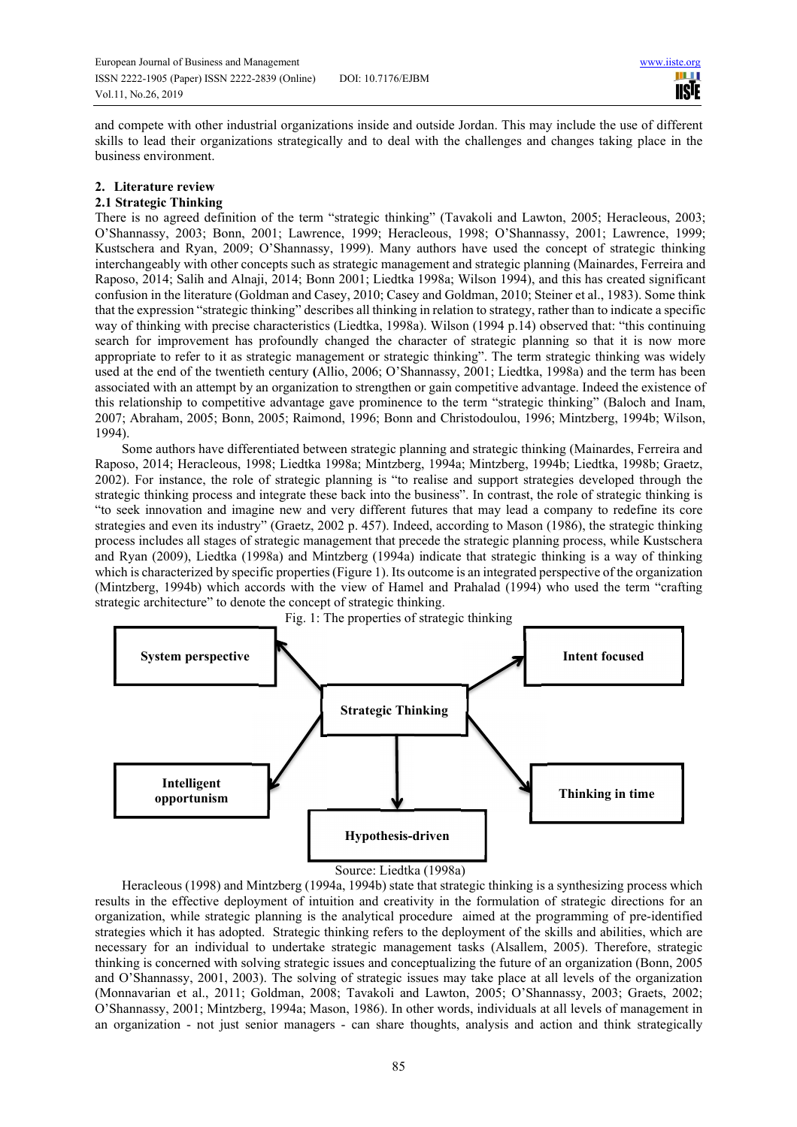**III IISTE** 

and compete with other industrial organizations inside and outside Jordan. This may include the use of different skills to lead their organizations strategically and to deal with the challenges and changes taking place in the business environment.

# **2. Literature review**

## **2.1 Strategic Thinking**

There is no agreed definition of the term "strategic thinking" (Tavakoli and Lawton, 2005; Heracleous, 2003; O'Shannassy, 2003; Bonn, 2001; Lawrence, 1999; Heracleous, 1998; O'Shannassy, 2001; Lawrence, 1999; Kustschera and Ryan, 2009; O'Shannassy, 1999). Many authors have used the concept of strategic thinking interchangeably with other concepts such as strategic management and strategic planning (Mainardes, Ferreira and Raposo, 2014; Salih and Alnaji, 2014; Bonn 2001; Liedtka 1998a; Wilson 1994), and this has created significant confusion in the literature (Goldman and Casey, 2010; Casey and Goldman, 2010; Steiner et al., 1983). Some think that the expression "strategic thinking" describes all thinking in relation to strategy, rather than to indicate a specific way of thinking with precise characteristics (Liedtka, 1998a). Wilson (1994 p.14) observed that: "this continuing search for improvement has profoundly changed the character of strategic planning so that it is now more appropriate to refer to it as strategic management or strategic thinking". The term strategic thinking was widely used at the end of the twentieth century **(**Allio, 2006; O'Shannassy, 2001; Liedtka, 1998a) and the term has been associated with an attempt by an organization to strengthen or gain competitive advantage. Indeed the existence of this relationship to competitive advantage gave prominence to the term "strategic thinking" (Baloch and Inam, 2007; Abraham, 2005; Bonn, 2005; Raimond, 1996; Bonn and Christodoulou, 1996; Mintzberg, 1994b; Wilson, 1994).

Some authors have differentiated between strategic planning and strategic thinking (Mainardes, Ferreira and Raposo, 2014; Heracleous, 1998; Liedtka 1998a; Mintzberg, 1994a; Mintzberg, 1994b; Liedtka, 1998b; Graetz, 2002). For instance, the role of strategic planning is "to realise and support strategies developed through the strategic thinking process and integrate these back into the business". In contrast, the role of strategic thinking is "to seek innovation and imagine new and very different futures that may lead a company to redefine its core strategies and even its industry" (Graetz, 2002 p. 457). Indeed, according to Mason (1986), the strategic thinking process includes all stages of strategic management that precede the strategic planning process, while Kustschera and Ryan (2009), Liedtka (1998a) and Mintzberg (1994a) indicate that strategic thinking is a way of thinking which is characterized by specific properties (Figure 1). Its outcome is an integrated perspective of the organization (Mintzberg, 1994b) which accords with the view of Hamel and Prahalad (1994) who used the term "crafting strategic architecture" to denote the concept of strategic thinking.



#### Source: Liedtka (1998a)

Heracleous (1998) and Mintzberg (1994a, 1994b) state that strategic thinking is a synthesizing process which results in the effective deployment of intuition and creativity in the formulation of strategic directions for an organization, while strategic planning is the analytical procedure aimed at the programming of pre-identified strategies which it has adopted. Strategic thinking refers to the deployment of the skills and abilities, which are necessary for an individual to undertake strategic management tasks (Alsallem, 2005). Therefore, strategic thinking is concerned with solving strategic issues and conceptualizing the future of an organization (Bonn, 2005 and O'Shannassy, 2001, 2003). The solving of strategic issues may take place at all levels of the organization (Monnavarian et al., 2011; Goldman, 2008; Tavakoli and Lawton, 2005; O'Shannassy, 2003; Graets, 2002; O'Shannassy, 2001; Mintzberg, 1994a; Mason, 1986). In other words, individuals at all levels of management in an organization - not just senior managers - can share thoughts, analysis and action and think strategically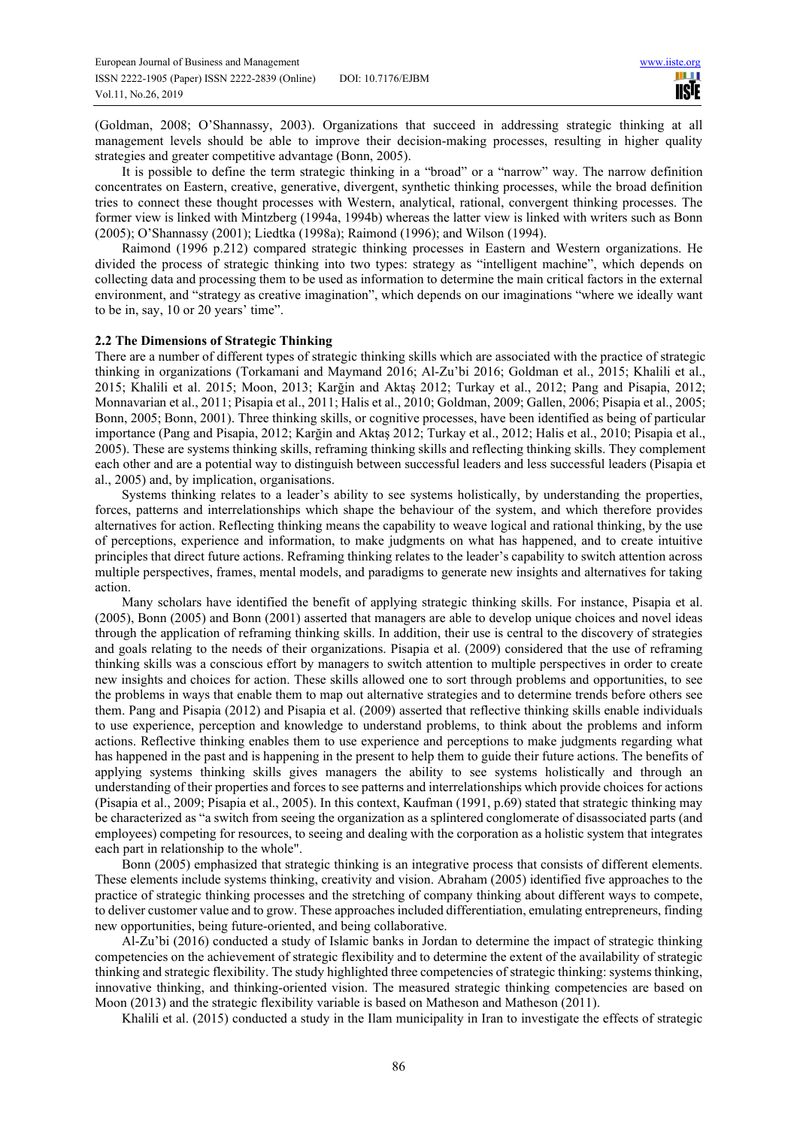(Goldman, 2008; O'Shannassy, 2003). Organizations that succeed in addressing strategic thinking at all management levels should be able to improve their decision-making processes, resulting in higher quality strategies and greater competitive advantage (Bonn, 2005).

It is possible to define the term strategic thinking in a "broad" or a "narrow" way. The narrow definition concentrates on Eastern, creative, generative, divergent, synthetic thinking processes, while the broad definition tries to connect these thought processes with Western, analytical, rational, convergent thinking processes. The former view is linked with Mintzberg (1994a, 1994b) whereas the latter view is linked with writers such as Bonn (2005); O'Shannassy (2001); Liedtka (1998a); Raimond (1996); and Wilson (1994).

Raimond (1996 p.212) compared strategic thinking processes in Eastern and Western organizations. He divided the process of strategic thinking into two types: strategy as "intelligent machine", which depends on collecting data and processing them to be used as information to determine the main critical factors in the external environment, and "strategy as creative imagination", which depends on our imaginations "where we ideally want to be in, say, 10 or 20 years' time".

### **2.2 The Dimensions of Strategic Thinking**

There are a number of different types of strategic thinking skills which are associated with the practice of strategic thinking in organizations (Torkamani and Maymand 2016; Al-Zu'bi 2016; Goldman et al., 2015; Khalili et al., 2015; Khalili et al. 2015; Moon, 2013; Karğin and Aktaş 2012; Turkay et al., 2012; Pang and Pisapia, 2012; Monnavarian et al., 2011; Pisapia et al., 2011; Halis et al., 2010; Goldman, 2009; Gallen, 2006; Pisapia et al., 2005; Bonn, 2005; Bonn, 2001). Three thinking skills, or cognitive processes, have been identified as being of particular importance (Pang and Pisapia, 2012; Karğin and Aktaş 2012; Turkay et al., 2012; Halis et al., 2010; Pisapia et al., 2005). These are systems thinking skills, reframing thinking skills and reflecting thinking skills. They complement each other and are a potential way to distinguish between successful leaders and less successful leaders (Pisapia et al., 2005) and, by implication, organisations.

Systems thinking relates to a leader's ability to see systems holistically, by understanding the properties, forces, patterns and interrelationships which shape the behaviour of the system, and which therefore provides alternatives for action. Reflecting thinking means the capability to weave logical and rational thinking, by the use of perceptions, experience and information, to make judgments on what has happened, and to create intuitive principles that direct future actions. Reframing thinking relates to the leader's capability to switch attention across multiple perspectives, frames, mental models, and paradigms to generate new insights and alternatives for taking action.

Many scholars have identified the benefit of applying strategic thinking skills. For instance, Pisapia et al. (2005), Bonn (2005) and Bonn (2001) asserted that managers are able to develop unique choices and novel ideas through the application of reframing thinking skills. In addition, their use is central to the discovery of strategies and goals relating to the needs of their organizations. Pisapia et al. (2009) considered that the use of reframing thinking skills was a conscious effort by managers to switch attention to multiple perspectives in order to create new insights and choices for action. These skills allowed one to sort through problems and opportunities, to see the problems in ways that enable them to map out alternative strategies and to determine trends before others see them. Pang and Pisapia (2012) and Pisapia et al. (2009) asserted that reflective thinking skills enable individuals to use experience, perception and knowledge to understand problems, to think about the problems and inform actions. Reflective thinking enables them to use experience and perceptions to make judgments regarding what has happened in the past and is happening in the present to help them to guide their future actions. The benefits of applying systems thinking skills gives managers the ability to see systems holistically and through an understanding of their properties and forces to see patterns and interrelationships which provide choices for actions (Pisapia et al., 2009; Pisapia et al., 2005). In this context, Kaufman (1991, p.69) stated that strategic thinking may be characterized as "a switch from seeing the organization as a splintered conglomerate of disassociated parts (and employees) competing for resources, to seeing and dealing with the corporation as a holistic system that integrates each part in relationship to the whole".

Bonn (2005) emphasized that strategic thinking is an integrative process that consists of different elements. These elements include systems thinking, creativity and vision. Abraham (2005) identified five approaches to the practice of strategic thinking processes and the stretching of company thinking about different ways to compete, to deliver customer value and to grow. These approaches included differentiation, emulating entrepreneurs, finding new opportunities, being future-oriented, and being collaborative.

Al-Zu'bi (2016) conducted a study of Islamic banks in Jordan to determine the impact of strategic thinking competencies on the achievement of strategic flexibility and to determine the extent of the availability of strategic thinking and strategic flexibility. The study highlighted three competencies of strategic thinking: systems thinking, innovative thinking, and thinking-oriented vision. The measured strategic thinking competencies are based on Moon (2013) and the strategic flexibility variable is based on Matheson and Matheson (2011).

Khalili et al. (2015) conducted a study in the Ilam municipality in Iran to investigate the effects of strategic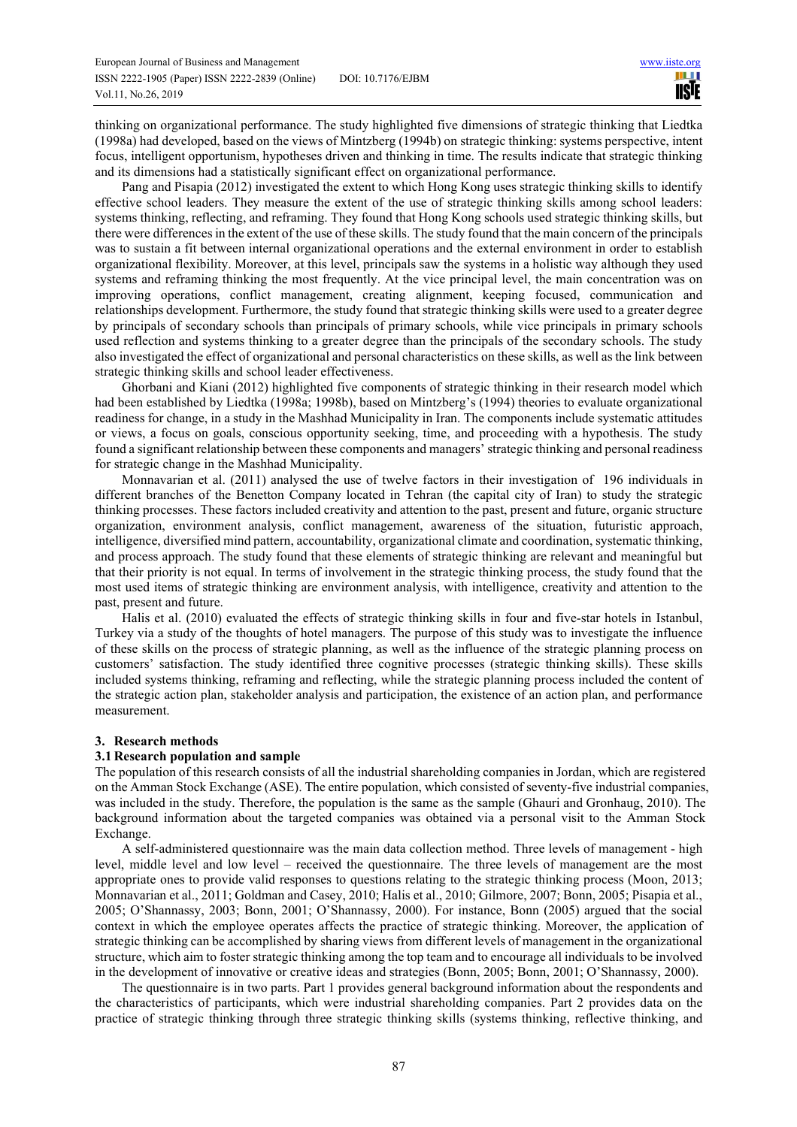thinking on organizational performance. The study highlighted five dimensions of strategic thinking that Liedtka (1998a) had developed, based on the views of Mintzberg (1994b) on strategic thinking: systems perspective, intent focus, intelligent opportunism, hypotheses driven and thinking in time. The results indicate that strategic thinking and its dimensions had a statistically significant effect on organizational performance.

Pang and Pisapia (2012) investigated the extent to which Hong Kong uses strategic thinking skills to identify effective school leaders. They measure the extent of the use of strategic thinking skills among school leaders: systems thinking, reflecting, and reframing. They found that Hong Kong schools used strategic thinking skills, but there were differences in the extent of the use of these skills. The study found that the main concern of the principals was to sustain a fit between internal organizational operations and the external environment in order to establish organizational flexibility. Moreover, at this level, principals saw the systems in a holistic way although they used systems and reframing thinking the most frequently. At the vice principal level, the main concentration was on improving operations, conflict management, creating alignment, keeping focused, communication and relationships development. Furthermore, the study found that strategic thinking skills were used to a greater degree by principals of secondary schools than principals of primary schools, while vice principals in primary schools used reflection and systems thinking to a greater degree than the principals of the secondary schools. The study also investigated the effect of organizational and personal characteristics on these skills, as well as the link between strategic thinking skills and school leader effectiveness.

Ghorbani and Kiani (2012) highlighted five components of strategic thinking in their research model which had been established by Liedtka (1998a; 1998b), based on Mintzberg's (1994) theories to evaluate organizational readiness for change, in a study in the Mashhad Municipality in Iran. The components include systematic attitudes or views, a focus on goals, conscious opportunity seeking, time, and proceeding with a hypothesis. The study found a significant relationship between these components and managers' strategic thinking and personal readiness for strategic change in the Mashhad Municipality.

Monnavarian et al. (2011) analysed the use of twelve factors in their investigation of 196 individuals in different branches of the Benetton Company located in Tehran (the capital city of Iran) to study the strategic thinking processes. These factors included creativity and attention to the past, present and future, organic structure organization, environment analysis, conflict management, awareness of the situation, futuristic approach, intelligence, diversified mind pattern, accountability, organizational climate and coordination, systematic thinking, and process approach. The study found that these elements of strategic thinking are relevant and meaningful but that their priority is not equal. In terms of involvement in the strategic thinking process, the study found that the most used items of strategic thinking are environment analysis, with intelligence, creativity and attention to the past, present and future.

Halis et al. (2010) evaluated the effects of strategic thinking skills in four and five-star hotels in Istanbul, Turkey via a study of the thoughts of hotel managers. The purpose of this study was to investigate the influence of these skills on the process of strategic planning, as well as the influence of the strategic planning process on customers' satisfaction. The study identified three cognitive processes (strategic thinking skills). These skills included systems thinking, reframing and reflecting, while the strategic planning process included the content of the strategic action plan, stakeholder analysis and participation, the existence of an action plan, and performance measurement.

## **3. Research methods**

## **3.1 Research population and sample**

The population of this research consists of all the industrial shareholding companies in Jordan, which are registered on the Amman Stock Exchange (ASE). The entire population, which consisted of seventy-five industrial companies, was included in the study. Therefore, the population is the same as the sample (Ghauri and Gronhaug, 2010). The background information about the targeted companies was obtained via a personal visit to the Amman Stock Exchange.

A self-administered questionnaire was the main data collection method. Three levels of management - high level, middle level and low level – received the questionnaire. The three levels of management are the most appropriate ones to provide valid responses to questions relating to the strategic thinking process (Moon, 2013; Monnavarian et al., 2011; Goldman and Casey, 2010; Halis et al., 2010; Gilmore, 2007; Bonn, 2005; Pisapia et al., 2005; O'Shannassy, 2003; Bonn, 2001; O'Shannassy, 2000). For instance, Bonn (2005) argued that the social context in which the employee operates affects the practice of strategic thinking. Moreover, the application of strategic thinking can be accomplished by sharing views from different levels of management in the organizational structure, which aim to foster strategic thinking among the top team and to encourage all individuals to be involved in the development of innovative or creative ideas and strategies (Bonn, 2005; Bonn, 2001; O'Shannassy, 2000).

The questionnaire is in two parts. Part 1 provides general background information about the respondents and the characteristics of participants, which were industrial shareholding companies. Part 2 provides data on the practice of strategic thinking through three strategic thinking skills (systems thinking, reflective thinking, and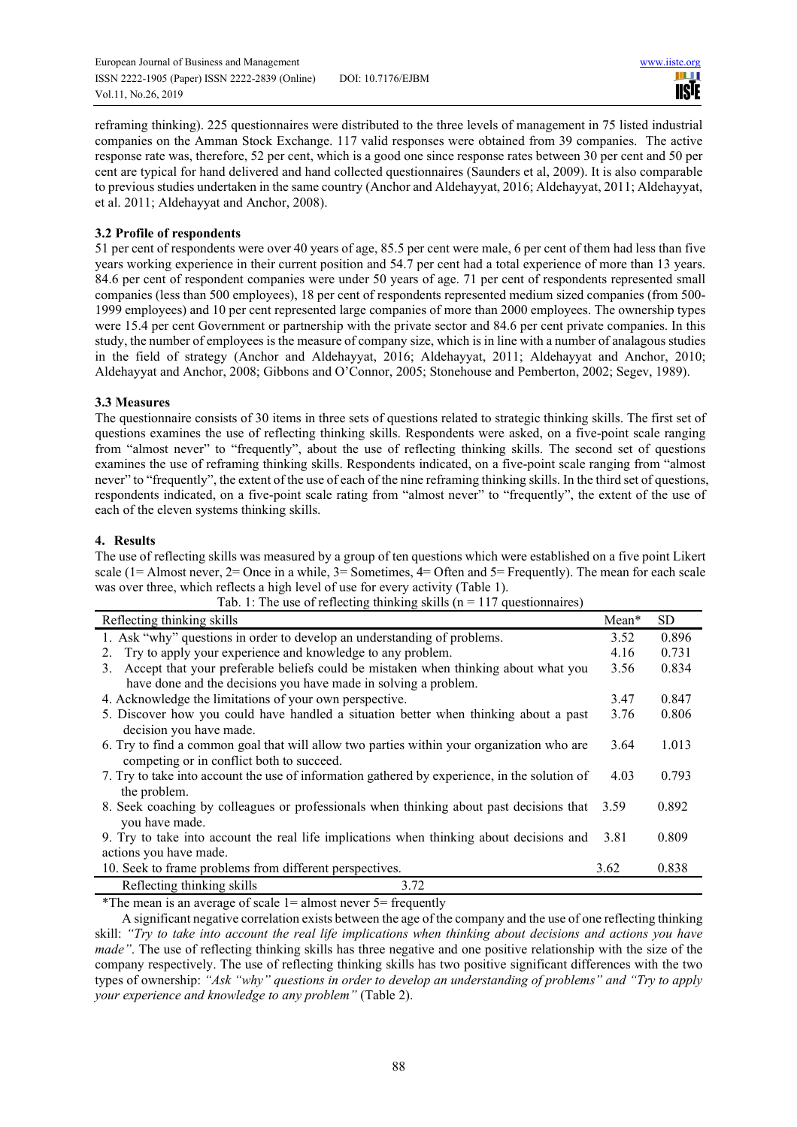European Journal of Business and Management www.iiste.org ISSN 2222-1905 (Paper) ISSN 2222-2839 (Online) DOI: 10.7176/EJBM Vol.11, No.26, 2019

**III IISTE** 

reframing thinking). 225 questionnaires were distributed to the three levels of management in 75 listed industrial companies on the Amman Stock Exchange. 117 valid responses were obtained from 39 companies. The active response rate was, therefore, 52 per cent, which is a good one since response rates between 30 per cent and 50 per cent are typical for hand delivered and hand collected questionnaires (Saunders et al, 2009). It is also comparable to previous studies undertaken in the same country (Anchor and Aldehayyat, 2016; Aldehayyat, 2011; Aldehayyat, et al. 2011; Aldehayyat and Anchor, 2008).

# **3.2 Profile of respondents**

51 per cent of respondents were over 40 years of age, 85.5 per cent were male, 6 per cent of them had less than five years working experience in their current position and 54.7 per cent had a total experience of more than 13 years. 84.6 per cent of respondent companies were under 50 years of age. 71 per cent of respondents represented small companies (less than 500 employees), 18 per cent of respondents represented medium sized companies (from 500- 1999 employees) and 10 per cent represented large companies of more than 2000 employees. The ownership types were 15.4 per cent Government or partnership with the private sector and 84.6 per cent private companies. In this study, the number of employees is the measure of company size, which is in line with a number of analagous studies in the field of strategy (Anchor and Aldehayyat, 2016; Aldehayyat, 2011; Aldehayyat and Anchor, 2010; Aldehayyat and Anchor, 2008; Gibbons and O'Connor, 2005; Stonehouse and Pemberton, 2002; Segev, 1989).

# **3.3 Measures**

The questionnaire consists of 30 items in three sets of questions related to strategic thinking skills. The first set of questions examines the use of reflecting thinking skills. Respondents were asked, on a five-point scale ranging from "almost never" to "frequently", about the use of reflecting thinking skills. The second set of questions examines the use of reframing thinking skills. Respondents indicated, on a five-point scale ranging from "almost never" to "frequently", the extent of the use of each of the nine reframing thinking skills. In the third set of questions, respondents indicated, on a five-point scale rating from "almost never" to "frequently", the extent of the use of each of the eleven systems thinking skills.

# **4. Results**

The use of reflecting skills was measured by a group of ten questions which were established on a five point Likert scale (1= Almost never, 2= Once in a while, 3= Sometimes, 4= Often and 5= Frequently). The mean for each scale was over three, which reflects a high level of use for every activity (Table 1).

| $1a0.1.$ The ase of ferrolling unificing sams (if $117$ questioniantes)                       |         |           |
|-----------------------------------------------------------------------------------------------|---------|-----------|
| Reflecting thinking skills                                                                    | $Mean*$ | <b>SD</b> |
| 1. Ask "why" questions in order to develop an understanding of problems.                      | 3.52    | 0.896     |
| 2. Try to apply your experience and knowledge to any problem.                                 | 4.16    | 0.731     |
| Accept that your preferable beliefs could be mistaken when thinking about what you<br>3.      | 3.56    | 0.834     |
| have done and the decisions you have made in solving a problem.                               |         |           |
| 4. Acknowledge the limitations of your own perspective.                                       | 3.47    | 0.847     |
| 5. Discover how you could have handled a situation better when thinking about a past          | 3.76    | 0.806     |
| decision you have made.                                                                       |         |           |
| 6. Try to find a common goal that will allow two parties within your organization who are     | 3.64    | 1.013     |
| competing or in conflict both to succeed.                                                     |         |           |
| 7. Try to take into account the use of information gathered by experience, in the solution of | 4.03    | 0.793     |
| the problem.                                                                                  |         |           |
| 8. Seek coaching by colleagues or professionals when thinking about past decisions that       | 3.59    | 0.892     |
| you have made.                                                                                |         |           |
| 9. Try to take into account the real life implications when thinking about decisions and      | 3.81    | 0.809     |
| actions you have made.                                                                        |         |           |
| 10. Seek to frame problems from different perspectives.                                       | 3.62    | 0.838     |
| Reflecting thinking skills<br>3.72                                                            |         |           |

Tab. 1: The use of reflecting thinking skills ( $n = 117$  questionnaires)

\*The mean is an average of scale  $1=$  almost never  $5=$  frequently

A significant negative correlation exists between the age of the company and the use of one reflecting thinking skill: *"Try to take into account the real life implications when thinking about decisions and actions you have made"*. The use of reflecting thinking skills has three negative and one positive relationship with the size of the company respectively. The use of reflecting thinking skills has two positive significant differences with the two types of ownership: *"Ask "why" questions in order to develop an understanding of problems" and "Try to apply your experience and knowledge to any problem"* (Table 2).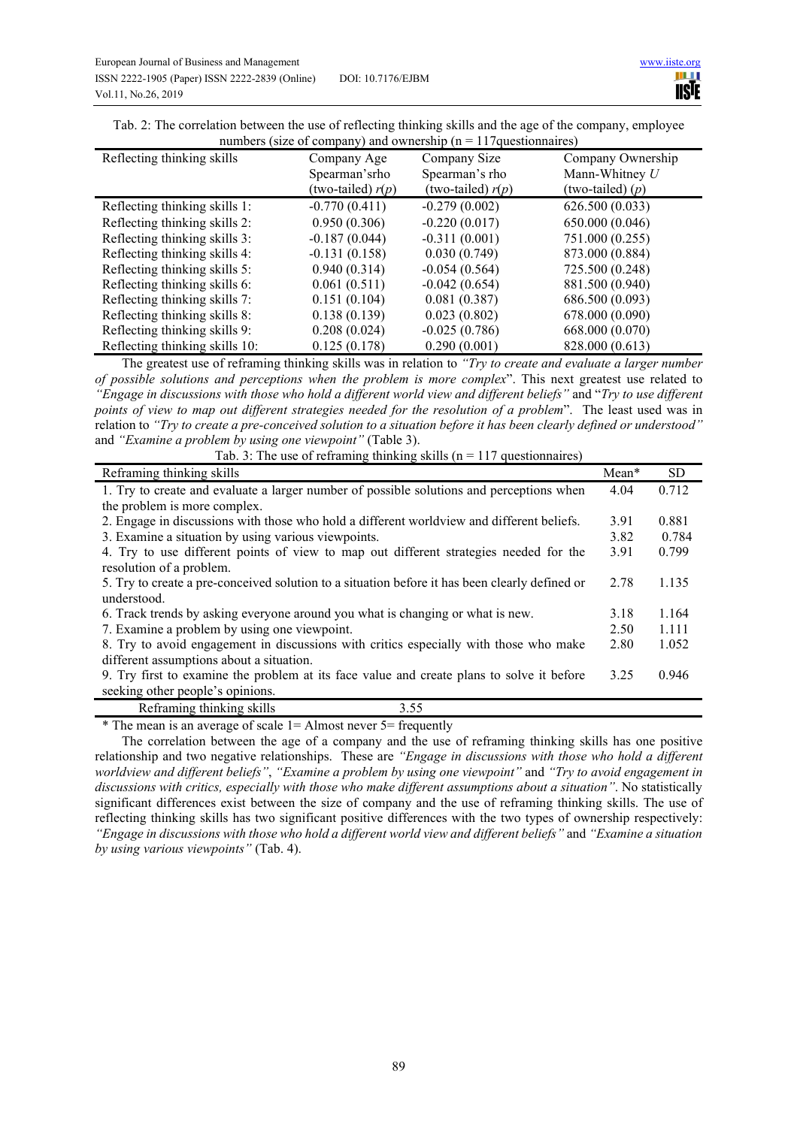| Tab. 2: The correlation between the use of reflecting thinking skills and the age of the company, employee |  |
|------------------------------------------------------------------------------------------------------------|--|
| numbers (size of company) and ownership ( $n = 117$ questionnaires)                                        |  |

| $\mu$ multiple is (size of company) and ownership ( $\mu$ – $\mu$ ) questionnales) |                     |                     |                    |
|------------------------------------------------------------------------------------|---------------------|---------------------|--------------------|
| Reflecting thinking skills                                                         | Company Age         | Company Size        | Company Ownership  |
|                                                                                    | Spearman's rho      | Spearman's rho      | Mann-Whitney U     |
|                                                                                    | (two-tailed) $r(p)$ | (two-tailed) $r(p)$ | (two-tailed) $(p)$ |
| Reflecting thinking skills 1:                                                      | $-0.770(0.411)$     | $-0.279(0.002)$     | 626.500 (0.033)    |
| Reflecting thinking skills 2:                                                      | 0.950(0.306)        | $-0.220(0.017)$     | 650.000 (0.046)    |
| Reflecting thinking skills 3:                                                      | $-0.187(0.044)$     | $-0.311(0.001)$     | 751.000 (0.255)    |
| Reflecting thinking skills 4:                                                      | $-0.131(0.158)$     | 0.030(0.749)        | 873.000 (0.884)    |
| Reflecting thinking skills 5:                                                      | 0.940(0.314)        | $-0.054(0.564)$     | 725.500 (0.248)    |
| Reflecting thinking skills 6:                                                      | 0.061(0.511)        | $-0.042(0.654)$     | 881.500 (0.940)    |
| Reflecting thinking skills 7:                                                      | 0.151(0.104)        | 0.081(0.387)        | 686.500 (0.093)    |
| Reflecting thinking skills 8:                                                      | 0.138(0.139)        | 0.023(0.802)        | 678.000 (0.090)    |
| Reflecting thinking skills 9:                                                      | 0.208(0.024)        | $-0.025(0.786)$     | 668.000 (0.070)    |
| Reflecting thinking skills 10:                                                     | 0.125(0.178)        | 0.290(0.001)        | 828.000 (0.613)    |

The greatest use of reframing thinking skills was in relation to *"Try to create and evaluate a larger number of possible solutions and perceptions when the problem is more complex*". This next greatest use related to *"Engage in discussions with those who hold a different world view and different beliefs"* and "*Try to use different points of view to map out different strategies needed for the resolution of a problem*". The least used was in relation to *"Try to create a pre-conceived solution to a situation before it has been clearly defined or understood"*  and *"Examine a problem by using one viewpoint"* (Table 3).

Tab. 3: The use of reframing thinking skills ( $n = 117$  questionnaires)

| Reframing thinking skills                                                                      | $Mean*$ | <b>SD</b> |
|------------------------------------------------------------------------------------------------|---------|-----------|
| 1. Try to create and evaluate a larger number of possible solutions and perceptions when       | 4.04    | 0.712     |
| the problem is more complex.                                                                   |         |           |
| 2. Engage in discussions with those who hold a different worldview and different beliefs.      | 3.91    | 0.881     |
| 3. Examine a situation by using various viewpoints.                                            | 3.82    | 0.784     |
| 4. Try to use different points of view to map out different strategies needed for the          | 3.91    | 0.799     |
| resolution of a problem.                                                                       |         |           |
| 5. Try to create a pre-conceived solution to a situation before it has been clearly defined or | 2.78    | 1.135     |
| understood.                                                                                    |         |           |
| 6. Track trends by asking everyone around you what is changing or what is new.                 | 3.18    | 1.164     |
| 7. Examine a problem by using one viewpoint.                                                   | 2.50    | 1.111     |
| 8. Try to avoid engagement in discussions with critics especially with those who make          | 2.80    | 1.052     |
| different assumptions about a situation.                                                       |         |           |
| 9. Try first to examine the problem at its face value and create plans to solve it before      | 3.25    | 0.946     |
| seeking other people's opinions.                                                               |         |           |
| Reframing thinking skills<br>3.55                                                              |         |           |

 $*$  The mean is an average of scale 1 = Almost never 5 = frequently

The correlation between the age of a company and the use of reframing thinking skills has one positive relationship and two negative relationships. These are *"Engage in discussions with those who hold a different worldview and different beliefs"*, *"Examine a problem by using one viewpoint"* and *"Try to avoid engagement in discussions with critics, especially with those who make different assumptions about a situation"*. No statistically significant differences exist between the size of company and the use of reframing thinking skills. The use of reflecting thinking skills has two significant positive differences with the two types of ownership respectively: *"Engage in discussions with those who hold a different world view and different beliefs"* and *"Examine a situation by using various viewpoints"* (Tab. 4).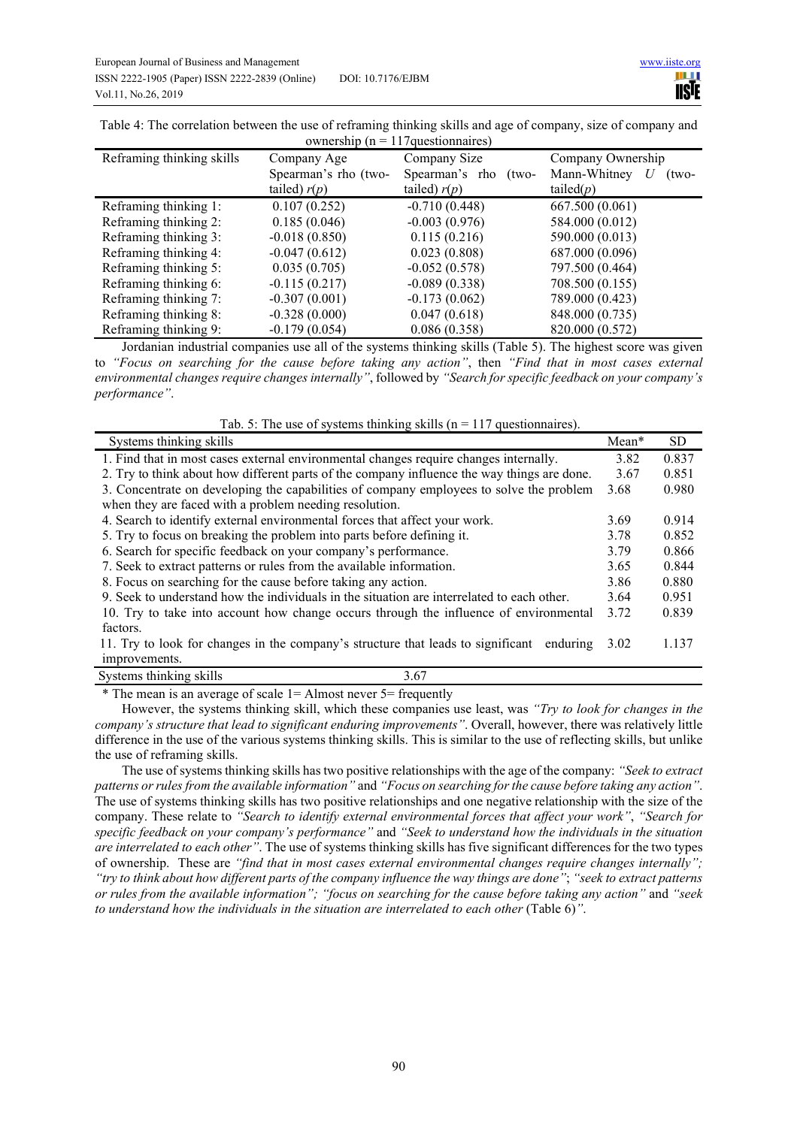| ownership ( $n = 117$ questionnaires) |                      |                           |                       |
|---------------------------------------|----------------------|---------------------------|-----------------------|
| Reframing thinking skills             | Company Age          | Company Size              | Company Ownership     |
|                                       | Spearman's rho (two- | Spearman's rho<br>$(two-$ | Mann-Whitney<br>(two- |
|                                       | tailed) $r(p)$       | tailed) $r(p)$            | tailed $(p)$          |
| Reframing thinking 1:                 | 0.107(0.252)         | $-0.710(0.448)$           | 667.500 (0.061)       |
| Reframing thinking 2:                 | 0.185(0.046)         | $-0.003(0.976)$           | 584.000 (0.012)       |
| Reframing thinking 3:                 | $-0.018(0.850)$      | 0.115(0.216)              | 590.000 (0.013)       |
| Reframing thinking 4:                 | $-0.047(0.612)$      | 0.023(0.808)              | 687.000 (0.096)       |
| Reframing thinking 5:                 | 0.035(0.705)         | $-0.052(0.578)$           | 797.500 (0.464)       |
| Reframing thinking 6:                 | $-0.115(0.217)$      | $-0.089(0.338)$           | 708.500 (0.155)       |
| Reframing thinking 7:                 | $-0.307(0.001)$      | $-0.173(0.062)$           | 789.000 (0.423)       |
| Reframing thinking 8:                 | $-0.328(0.000)$      | 0.047(0.618)              | 848.000 (0.735)       |
| Reframing thinking 9:                 | $-0.179(0.054)$      | 0.086(0.358)              | 820.000 (0.572)       |

Table 4: The correlation between the use of reframing thinking skills and age of company, size of company and

Jordanian industrial companies use all of the systems thinking skills (Table 5). The highest score was given to *"Focus on searching for the cause before taking any action"*, then *"Find that in most cases external environmental changes require changes internally"*, followed by *"Search for specific feedback on your company's performance"*.

Tab. 5: The use of systems thinking skills ( $n = 117$  questionnaires).

| Systems thinking skills                                                                     | Mean* | SD    |
|---------------------------------------------------------------------------------------------|-------|-------|
| 1. Find that in most cases external environmental changes require changes internally.       | 3.82  | 0.837 |
| 2. Try to think about how different parts of the company influence the way things are done. | 3.67  | 0.851 |
| 3. Concentrate on developing the capabilities of company employees to solve the problem     | 3.68  | 0.980 |
| when they are faced with a problem needing resolution.                                      |       |       |
| 4. Search to identify external environmental forces that affect your work.                  | 3.69  | 0.914 |
| 5. Try to focus on breaking the problem into parts before defining it.                      | 3.78  | 0.852 |
| 6. Search for specific feedback on your company's performance.                              | 3.79  | 0.866 |
| 7. Seek to extract patterns or rules from the available information.                        | 3.65  | 0.844 |
| 8. Focus on searching for the cause before taking any action.                               | 3.86  | 0.880 |
| 9. Seek to understand how the individuals in the situation are interrelated to each other.  | 3.64  | 0.951 |
| 10. Try to take into account how change occurs through the influence of environmental       | 3.72  | 0.839 |
| factors.                                                                                    |       |       |
| 11. Try to look for changes in the company's structure that leads to significant enduring   | 3.02  | 1.137 |
| improvements.                                                                               |       |       |
| Systems thinking skills<br>3.67                                                             |       |       |

\* The mean is an average of scale 1= Almost never 5= frequently

However, the systems thinking skill, which these companies use least, was *"Try to look for changes in the company's structure that lead to significant enduring improvements"*. Overall, however, there was relatively little difference in the use of the various systems thinking skills. This is similar to the use of reflecting skills, but unlike the use of reframing skills.

The use of systems thinking skills has two positive relationships with the age of the company: *"Seek to extract patterns or rules from the available information"* and *"Focus on searching for the cause before taking any action"*. The use of systems thinking skills has two positive relationships and one negative relationship with the size of the company. These relate to *"Search to identify external environmental forces that affect your work"*, *"Search for specific feedback on your company's performance"* and *"Seek to understand how the individuals in the situation are interrelated to each other"*. The use of systems thinking skills has five significant differences for the two types of ownership. These are *"find that in most cases external environmental changes require changes internally"; "try to think about how different parts of the company influence the way things are done"*; *"seek to extract patterns or rules from the available information"; "focus on searching for the cause before taking any action"* and *"seek to understand how the individuals in the situation are interrelated to each other* (Table 6)*"*.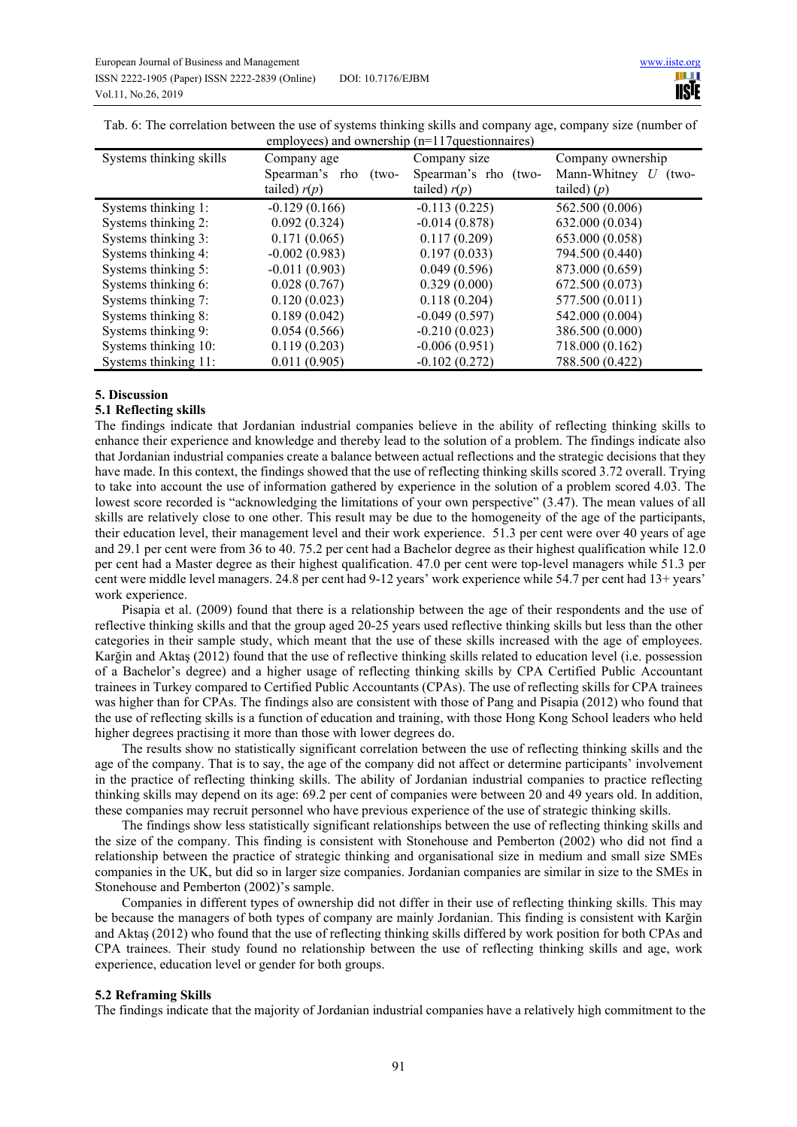|                         | $\alpha$ comproved and ownership $(n-1)$ / questionnancs) |                      |                           |
|-------------------------|-----------------------------------------------------------|----------------------|---------------------------|
| Systems thinking skills | Company age                                               | Company size         | Company ownership         |
|                         | Spearman's rho<br>(two-                                   | Spearman's rho (two- | Mann-Whitney U<br>$(two-$ |
|                         | tailed) $r(p)$                                            | tailed) $r(p)$       | tailed) $(p)$             |
| Systems thinking 1:     | $-0.129(0.166)$                                           | $-0.113(0.225)$      | 562.500 (0.006)           |
| Systems thinking 2:     | 0.092(0.324)                                              | $-0.014(0.878)$      | 632.000 (0.034)           |
| Systems thinking 3:     | 0.171(0.065)                                              | 0.117(0.209)         | 653.000 (0.058)           |
| Systems thinking 4:     | $-0.002(0.983)$                                           | 0.197(0.033)         | 794.500 (0.440)           |
| Systems thinking 5:     | $-0.011(0.903)$                                           | 0.049(0.596)         | 873.000 (0.659)           |
| Systems thinking 6:     | 0.028(0.767)                                              | 0.329(0.000)         | 672.500 (0.073)           |
| Systems thinking 7:     | 0.120(0.023)                                              | 0.118(0.204)         | 577.500 (0.011)           |
| Systems thinking 8:     | 0.189(0.042)                                              | $-0.049(0.597)$      | 542.000 (0.004)           |
| Systems thinking 9:     | 0.054(0.566)                                              | $-0.210(0.023)$      | 386.500 (0.000)           |
| Systems thinking 10:    | 0.119(0.203)                                              | $-0.006(0.951)$      | 718.000 (0.162)           |
| Systems thinking 11:    | 0.011(0.905)                                              | $-0.102(0.272)$      | 788.500 (0.422)           |

Tab. 6: The correlation between the use of systems thinking skills and company age, company size (number of employees) and ownership  $(n=117$ questionnaires)

## **5. Discussion**

#### **5.1 Reflecting skills**

The findings indicate that Jordanian industrial companies believe in the ability of reflecting thinking skills to enhance their experience and knowledge and thereby lead to the solution of a problem. The findings indicate also that Jordanian industrial companies create a balance between actual reflections and the strategic decisions that they have made. In this context, the findings showed that the use of reflecting thinking skills scored 3.72 overall. Trying to take into account the use of information gathered by experience in the solution of a problem scored 4.03. The lowest score recorded is "acknowledging the limitations of your own perspective" (3.47). The mean values of all skills are relatively close to one other. This result may be due to the homogeneity of the age of the participants, their education level, their management level and their work experience. 51.3 per cent were over 40 years of age and 29.1 per cent were from 36 to 40. 75.2 per cent had a Bachelor degree as their highest qualification while 12.0 per cent had a Master degree as their highest qualification. 47.0 per cent were top-level managers while 51.3 per cent were middle level managers. 24.8 per cent had 9-12 years' work experience while 54.7 per cent had 13+ years' work experience.

Pisapia et al. (2009) found that there is a relationship between the age of their respondents and the use of reflective thinking skills and that the group aged 20-25 years used reflective thinking skills but less than the other categories in their sample study, which meant that the use of these skills increased with the age of employees. Karğin and Aktaş (2012) found that the use of reflective thinking skills related to education level (i.e. possession of a Bachelor's degree) and a higher usage of reflecting thinking skills by CPA Certified Public Accountant trainees in Turkey compared to Certified Public Accountants (CPAs). The use of reflecting skills for CPA trainees was higher than for CPAs. The findings also are consistent with those of Pang and Pisapia (2012) who found that the use of reflecting skills is a function of education and training, with those Hong Kong School leaders who held higher degrees practising it more than those with lower degrees do.

The results show no statistically significant correlation between the use of reflecting thinking skills and the age of the company. That is to say, the age of the company did not affect or determine participants' involvement in the practice of reflecting thinking skills. The ability of Jordanian industrial companies to practice reflecting thinking skills may depend on its age: 69.2 per cent of companies were between 20 and 49 years old. In addition, these companies may recruit personnel who have previous experience of the use of strategic thinking skills.

The findings show less statistically significant relationships between the use of reflecting thinking skills and the size of the company. This finding is consistent with Stonehouse and Pemberton (2002) who did not find a relationship between the practice of strategic thinking and organisational size in medium and small size SMEs companies in the UK, but did so in larger size companies. Jordanian companies are similar in size to the SMEs in Stonehouse and Pemberton (2002)'s sample.

Companies in different types of ownership did not differ in their use of reflecting thinking skills. This may be because the managers of both types of company are mainly Jordanian. This finding is consistent with Karğin and Aktaş (2012) who found that the use of reflecting thinking skills differed by work position for both CPAs and CPA trainees. Their study found no relationship between the use of reflecting thinking skills and age, work experience, education level or gender for both groups.

#### **5.2 Reframing Skills**

The findings indicate that the majority of Jordanian industrial companies have a relatively high commitment to the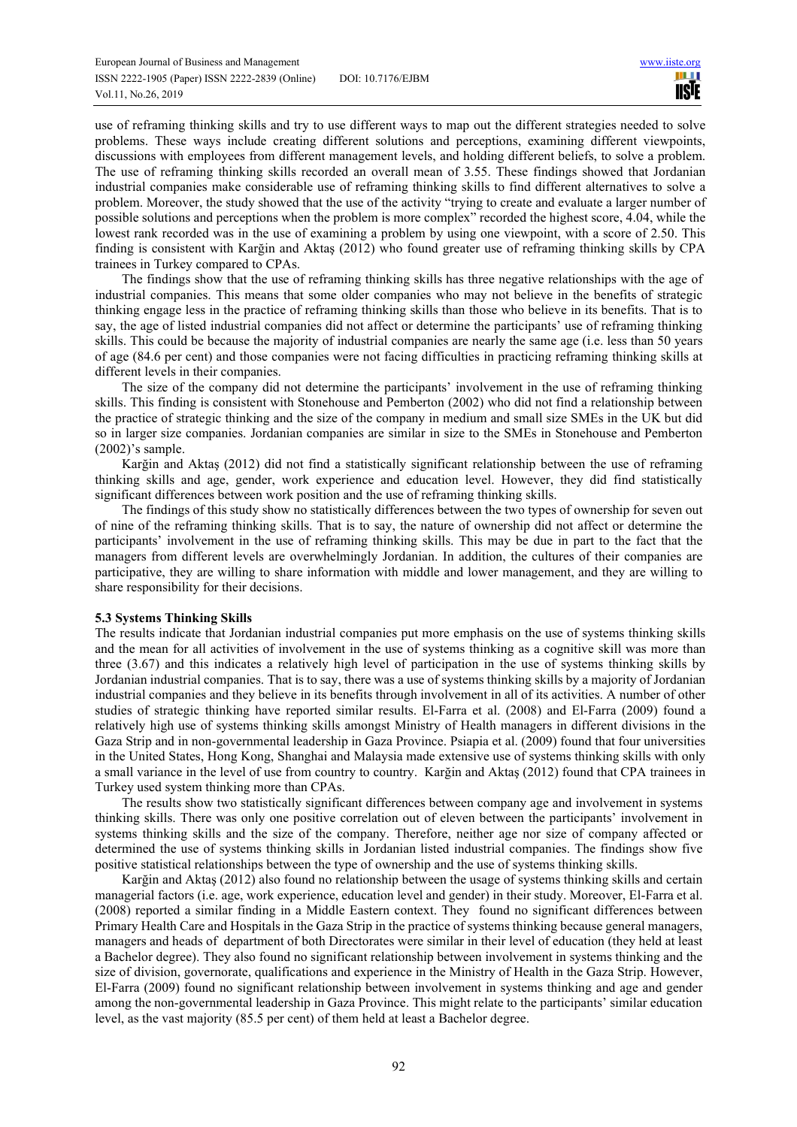use of reframing thinking skills and try to use different ways to map out the different strategies needed to solve problems. These ways include creating different solutions and perceptions, examining different viewpoints, discussions with employees from different management levels, and holding different beliefs, to solve a problem. The use of reframing thinking skills recorded an overall mean of 3.55. These findings showed that Jordanian industrial companies make considerable use of reframing thinking skills to find different alternatives to solve a problem. Moreover, the study showed that the use of the activity "trying to create and evaluate a larger number of possible solutions and perceptions when the problem is more complex" recorded the highest score, 4.04, while the lowest rank recorded was in the use of examining a problem by using one viewpoint, with a score of 2.50. This finding is consistent with Karğin and Aktaş (2012) who found greater use of reframing thinking skills by CPA trainees in Turkey compared to CPAs.

The findings show that the use of reframing thinking skills has three negative relationships with the age of industrial companies. This means that some older companies who may not believe in the benefits of strategic thinking engage less in the practice of reframing thinking skills than those who believe in its benefits. That is to say, the age of listed industrial companies did not affect or determine the participants' use of reframing thinking skills. This could be because the majority of industrial companies are nearly the same age (i.e. less than 50 years of age (84.6 per cent) and those companies were not facing difficulties in practicing reframing thinking skills at different levels in their companies.

The size of the company did not determine the participants' involvement in the use of reframing thinking skills. This finding is consistent with Stonehouse and Pemberton (2002) who did not find a relationship between the practice of strategic thinking and the size of the company in medium and small size SMEs in the UK but did so in larger size companies. Jordanian companies are similar in size to the SMEs in Stonehouse and Pemberton (2002)'s sample.

Karğin and Aktaş (2012) did not find a statistically significant relationship between the use of reframing thinking skills and age, gender, work experience and education level. However, they did find statistically significant differences between work position and the use of reframing thinking skills.

The findings of this study show no statistically differences between the two types of ownership for seven out of nine of the reframing thinking skills. That is to say, the nature of ownership did not affect or determine the participants' involvement in the use of reframing thinking skills. This may be due in part to the fact that the managers from different levels are overwhelmingly Jordanian. In addition, the cultures of their companies are participative, they are willing to share information with middle and lower management, and they are willing to share responsibility for their decisions.

## **5.3 Systems Thinking Skills**

The results indicate that Jordanian industrial companies put more emphasis on the use of systems thinking skills and the mean for all activities of involvement in the use of systems thinking as a cognitive skill was more than three (3.67) and this indicates a relatively high level of participation in the use of systems thinking skills by Jordanian industrial companies. That is to say, there was a use of systems thinking skills by a majority of Jordanian industrial companies and they believe in its benefits through involvement in all of its activities. A number of other studies of strategic thinking have reported similar results. El-Farra et al. (2008) and El-Farra (2009) found a relatively high use of systems thinking skills amongst Ministry of Health managers in different divisions in the Gaza Strip and in non-governmental leadership in Gaza Province. Psiapia et al. (2009) found that four universities in the United States, Hong Kong, Shanghai and Malaysia made extensive use of systems thinking skills with only a small variance in the level of use from country to country. Karğin and Aktaş (2012) found that CPA trainees in Turkey used system thinking more than CPAs.

The results show two statistically significant differences between company age and involvement in systems thinking skills. There was only one positive correlation out of eleven between the participants' involvement in systems thinking skills and the size of the company. Therefore, neither age nor size of company affected or determined the use of systems thinking skills in Jordanian listed industrial companies. The findings show five positive statistical relationships between the type of ownership and the use of systems thinking skills.

Karğin and Aktaş (2012) also found no relationship between the usage of systems thinking skills and certain managerial factors (i.e. age, work experience, education level and gender) in their study. Moreover, El-Farra et al. (2008) reported a similar finding in a Middle Eastern context. They found no significant differences between Primary Health Care and Hospitals in the Gaza Strip in the practice of systems thinking because general managers, managers and heads of department of both Directorates were similar in their level of education (they held at least a Bachelor degree). They also found no significant relationship between involvement in systems thinking and the size of division, governorate, qualifications and experience in the Ministry of Health in the Gaza Strip. However, El-Farra (2009) found no significant relationship between involvement in systems thinking and age and gender among the non-governmental leadership in Gaza Province. This might relate to the participants' similar education level, as the vast majority (85.5 per cent) of them held at least a Bachelor degree.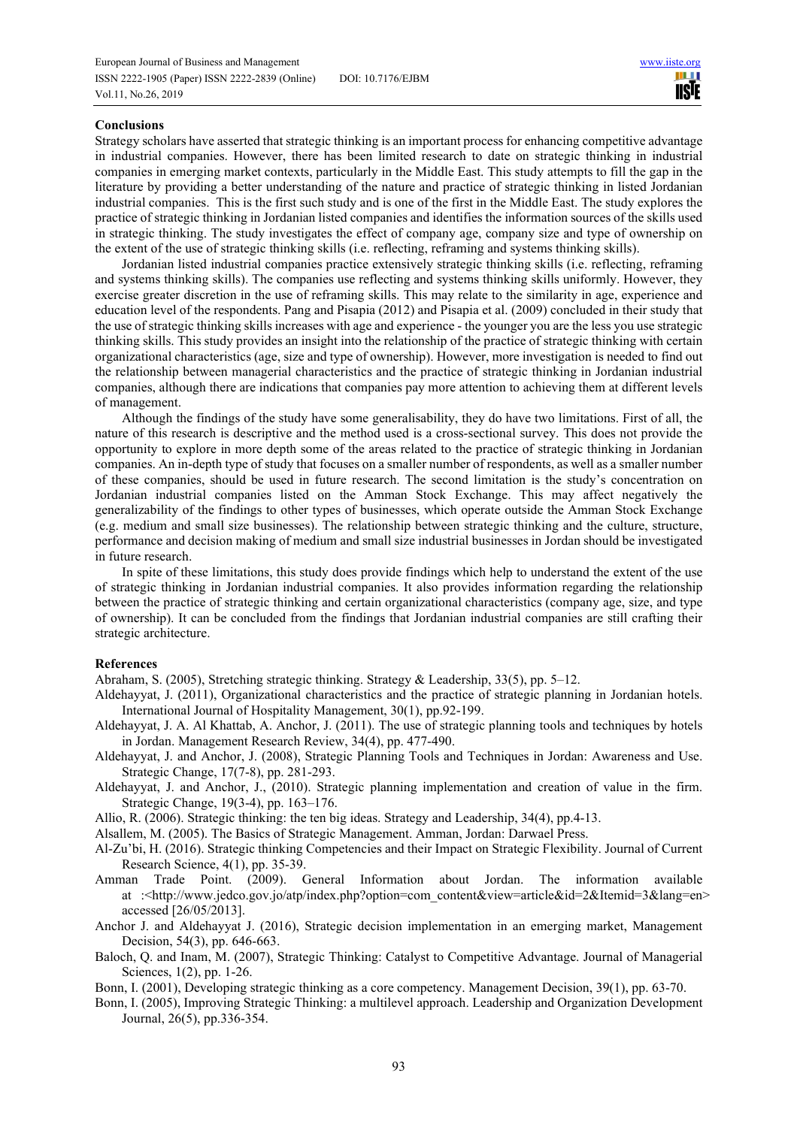### **Conclusions**

Strategy scholars have asserted that strategic thinking is an important process for enhancing competitive advantage in industrial companies. However, there has been limited research to date on strategic thinking in industrial companies in emerging market contexts, particularly in the Middle East. This study attempts to fill the gap in the literature by providing a better understanding of the nature and practice of strategic thinking in listed Jordanian industrial companies. This is the first such study and is one of the first in the Middle East. The study explores the practice of strategic thinking in Jordanian listed companies and identifies the information sources of the skills used in strategic thinking. The study investigates the effect of company age, company size and type of ownership on the extent of the use of strategic thinking skills (i.e. reflecting, reframing and systems thinking skills).

Jordanian listed industrial companies practice extensively strategic thinking skills (i.e. reflecting, reframing and systems thinking skills). The companies use reflecting and systems thinking skills uniformly. However, they exercise greater discretion in the use of reframing skills. This may relate to the similarity in age, experience and education level of the respondents. Pang and Pisapia (2012) and Pisapia et al. (2009) concluded in their study that the use of strategic thinking skills increases with age and experience - the younger you are the less you use strategic thinking skills. This study provides an insight into the relationship of the practice of strategic thinking with certain organizational characteristics (age, size and type of ownership). However, more investigation is needed to find out the relationship between managerial characteristics and the practice of strategic thinking in Jordanian industrial companies, although there are indications that companies pay more attention to achieving them at different levels of management.

Although the findings of the study have some generalisability, they do have two limitations. First of all, the nature of this research is descriptive and the method used is a cross-sectional survey. This does not provide the opportunity to explore in more depth some of the areas related to the practice of strategic thinking in Jordanian companies. An in-depth type of study that focuses on a smaller number of respondents, as well as a smaller number of these companies, should be used in future research. The second limitation is the study's concentration on Jordanian industrial companies listed on the Amman Stock Exchange. This may affect negatively the generalizability of the findings to other types of businesses, which operate outside the Amman Stock Exchange (e.g. medium and small size businesses). The relationship between strategic thinking and the culture, structure, performance and decision making of medium and small size industrial businesses in Jordan should be investigated in future research.

In spite of these limitations, this study does provide findings which help to understand the extent of the use of strategic thinking in Jordanian industrial companies. It also provides information regarding the relationship between the practice of strategic thinking and certain organizational characteristics (company age, size, and type of ownership). It can be concluded from the findings that Jordanian industrial companies are still crafting their strategic architecture.

#### **References**

Abraham, S. (2005), Stretching strategic thinking. Strategy & Leadership, 33(5), pp. 5–12.

- Aldehayyat, J. (2011), Organizational characteristics and the practice of strategic planning in Jordanian hotels. International Journal of Hospitality Management, 30(1), pp.92-199.
- Aldehayyat, J. A. Al Khattab, A. Anchor, J. (2011). The use of strategic planning tools and techniques by hotels in Jordan. Management Research Review, 34(4), pp. 477-490.
- Aldehayyat, J. and Anchor, J. (2008), Strategic Planning Tools and Techniques in Jordan: Awareness and Use. Strategic Change, 17(7-8), pp. 281-293.
- Aldehayyat, J. and Anchor, J., (2010). Strategic planning implementation and creation of value in the firm. Strategic Change, 19(3-4), pp. 163–176.
- Allio, R. (2006). Strategic thinking: the ten big ideas. Strategy and Leadership, 34(4), pp.4-13.
- Alsallem, M. (2005). The Basics of Strategic Management. Amman, Jordan: Darwael Press.

Al-Zu'bi, H. (2016). Strategic thinking Competencies and their Impact on Strategic Flexibility. Journal of Current Research Science, 4(1), pp. 35-39.

- Amman Trade Point. (2009). General Information about Jordan. The information available at :<http://www.jedco.gov.jo/atp/index.php?option=com\_content&view=article&id=2&Itemid=3&lang=en> accessed [26/05/2013].
- Anchor J. and Aldehayyat J. (2016), Strategic decision implementation in an emerging market, Management Decision, 54(3), pp. 646-663.
- Baloch, Q. and Inam, M. (2007), Strategic Thinking: Catalyst to Competitive Advantage. Journal of Managerial Sciences, 1(2), pp. 1-26.
- Bonn, I. (2001), Developing strategic thinking as a core competency. Management Decision, 39(1), pp. 63-70.
- Bonn, I. (2005), Improving Strategic Thinking: a multilevel approach. Leadership and Organization Development Journal, 26(5), pp.336-354.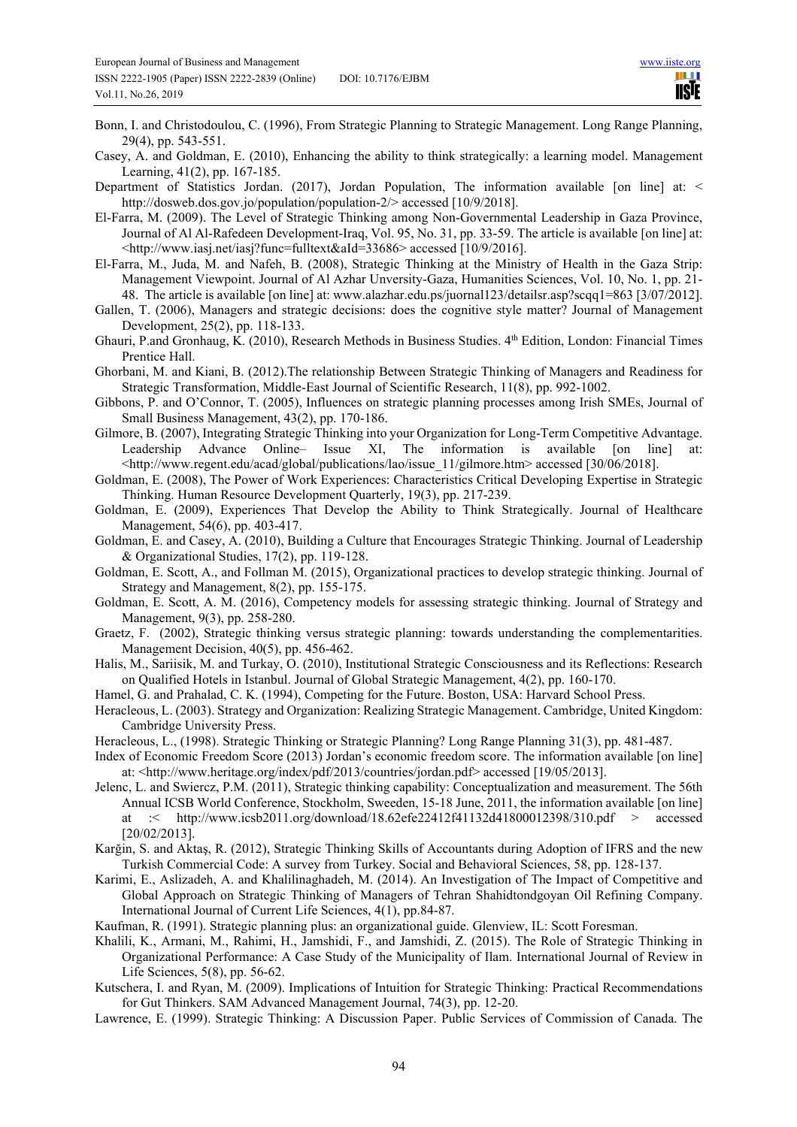- Bonn, I. and Christodoulou, C. (1996), From Strategic Planning to Strategic Management. Long Range Planning, 29(4), pp. 543-551.
- Casey, A. and Goldman, E. (2010), Enhancing the ability to think strategically: a learning model. Management Learning, 41(2), pp. 167-185.
- Department of Statistics Jordan. (2017), Jordan Population, The information available [on line] at: < http://dosweb.dos.gov.jo/population/population-2/> accessed [10/9/2018].
- El-Farra, M. (2009). The Level of Strategic Thinking among Non-Governmental Leadership in Gaza Province, Journal of Al Al-Rafedeen Development-Iraq, Vol. 95, No. 31, pp. 33-59. The article is available [on line] at: <http://www.iasj.net/iasj?func=fulltext&aId=33686> accessed [10/9/2016].
- El-Farra, M., Juda, M. and Nafeh, B. (2008), Strategic Thinking at the Ministry of Health in the Gaza Strip: Management Viewpoint. Journal of Al Azhar Unversity-Gaza, Humanities Sciences, Vol. 10, No. 1, pp. 21- 48. The article is available [on line] at: www.alazhar.edu.ps/juornal123/detailsr.asp?scqq1=863 [3/07/2012].
- Gallen, T. (2006), Managers and strategic decisions: does the cognitive style matter? Journal of Management Development, 25(2), pp. 118-133.
- Ghauri, P.and Gronhaug, K. (2010), Research Methods in Business Studies. 4th Edition, London: Financial Times Prentice Hall.
- Ghorbani, M. and Kiani, B. (2012).The relationship Between Strategic Thinking of Managers and Readiness for Strategic Transformation, Middle-East Journal of Scientific Research, 11(8), pp. 992-1002.
- Gibbons, P. and O'Connor, T. (2005), Influences on strategic planning processes among Irish SMEs, Journal of Small Business Management, 43(2), pp. 170-186.
- Gilmore, B. (2007), Integrating Strategic Thinking into your Organization for Long-Term Competitive Advantage. Leadership Advance Online- Issue XI, The information is available [on line]  $\lt$ http://www.regent.edu/acad/global/publications/lao/issue 11/gilmore.htm> accessed [30/06/2018].
- Goldman, E. (2008), The Power of Work Experiences: Characteristics Critical Developing Expertise in Strategic Thinking. Human Resource Development Quarterly, 19(3), pp. 217-239.
- Goldman, E. (2009), Experiences That Develop the Ability to Think Strategically. Journal of Healthcare Management, 54(6), pp. 403-417.
- Goldman, E. and Casey, A. (2010), Building a Culture that Encourages Strategic Thinking. Journal of Leadership & Organizational Studies, 17(2), pp. 119-128.
- Goldman, E. Scott, A., and Follman M. (2015), Organizational practices to develop strategic thinking. Journal of Strategy and Management, 8(2), pp. 155-175.
- Goldman, E. Scott, A. M. (2016), Competency models for assessing strategic thinking. Journal of Strategy and Management, 9(3), pp. 258-280.
- Graetz, F. (2002), Strategic thinking versus strategic planning: towards understanding the complementarities. Management Decision, 40(5), pp. 456-462.
- Halis, M., Sariisik, M. and Turkay, O. (2010), Institutional Strategic Consciousness and its Reflections: Research on Qualified Hotels in Istanbul. Journal of Global Strategic Management, 4(2), pp. 160-170.
- Hamel, G. and Prahalad, C. K. (1994), Competing for the Future. Boston, USA: Harvard School Press.
- Heracleous, L. (2003). Strategy and Organization: Realizing Strategic Management. Cambridge, United Kingdom: Cambridge University Press.
- Heracleous, L., (1998). Strategic Thinking or Strategic Planning? Long Range Planning 31(3), pp. 481-487.
- Index of Economic Freedom Score (2013) Jordan's economic freedom score. The information available [on line] at: <http://www.heritage.org/index/pdf/2013/countries/jordan.pdf> accessed [19/05/2013].
- Jelenc, L. and Swiercz, P.M. (2011), Strategic thinking capability: Conceptualization and measurement. The 56th Annual ICSB World Conference, Stockholm, Sweeden, 15-18 June, 2011, the information available [on line] at :< http://www.icsb2011.org/download/18.62efe22412f41132d41800012398/310.pdf > accessed [20/02/2013].
- Karğin, S. and Aktaş, R. (2012), Strategic Thinking Skills of Accountants during Adoption of IFRS and the new Turkish Commercial Code: A survey from Turkey. Social and Behavioral Sciences, 58, pp. 128-137.
- Karimi, E., Aslizadeh, A. and Khalilinaghadeh, M. (2014). An Investigation of The Impact of Competitive and Global Approach on Strategic Thinking of Managers of Tehran Shahidtondgoyan Oil Refining Company. International Journal of Current Life Sciences, 4(1), pp.84-87.
- Kaufman, R. (1991). Strategic planning plus: an organizational guide. Glenview, IL: Scott Foresman.
- Khalili, K., Armani, M., Rahimi, H., Jamshidi, F., and Jamshidi, Z. (2015). The Role of Strategic Thinking in Organizational Performance: A Case Study of the Municipality of Ilam. International Journal of Review in Life Sciences, 5(8), pp. 56-62.
- Kutschera, I. and Ryan, M. (2009). Implications of Intuition for Strategic Thinking: Practical Recommendations for Gut Thinkers. SAM Advanced Management Journal, 74(3), pp. 12-20.
- Lawrence, E. (1999). Strategic Thinking: A Discussion Paper. Public Services of Commission of Canada. The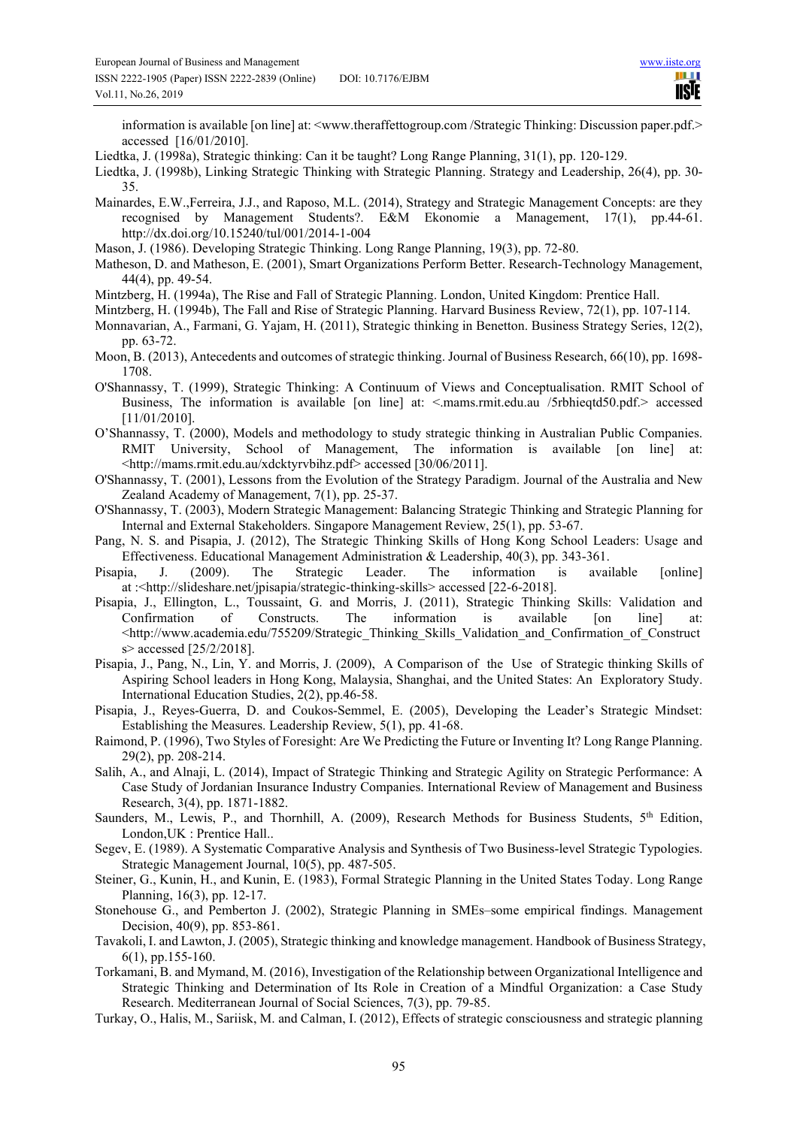information is available [on line] at: <www.theraffettogroup.com /Strategic Thinking: Discussion paper.pdf.> accessed [16/01/2010].

- Liedtka, J. (1998a), Strategic thinking: Can it be taught? Long Range Planning, 31(1), pp. 120-129.
- Liedtka, J. (1998b), Linking Strategic Thinking with Strategic Planning. Strategy and Leadership, 26(4), pp. 30- 35.
- Mainardes, E.W.,Ferreira, J.J., and Raposo, M.L. (2014), Strategy and Strategic Management Concepts: are they recognised by Management Students?. E&M Ekonomie a Management, 17(1), pp.44-61. http://dx.doi.org/10.15240/tul/001/2014-1-004
- Mason, J. (1986). Developing Strategic Thinking. Long Range Planning, 19(3), pp. 72-80.
- Matheson, D. and Matheson, E. (2001), Smart Organizations Perform Better. Research-Technology Management, 44(4), pp. 49-54.
- Mintzberg, H. (1994a), The Rise and Fall of Strategic Planning. London, United Kingdom: Prentice Hall.
- Mintzberg, H. (1994b), The Fall and Rise of Strategic Planning. Harvard Business Review, 72(1), pp. 107-114.
- Monnavarian, A., Farmani, G. Yajam, H. (2011), Strategic thinking in Benetton. Business Strategy Series, 12(2), pp. 63-72.
- Moon, B. (2013), Antecedents and outcomes of strategic thinking. Journal of Business Research, 66(10), pp. 1698- 1708.
- O'Shannassy, T. (1999), Strategic Thinking: A Continuum of Views and Conceptualisation. RMIT School of Business, The information is available [on line] at: <.mams.rmit.edu.au /5rbhieqtd50.pdf.> accessed [11/01/2010].
- O'Shannassy, T. (2000), Models and methodology to study strategic thinking in Australian Public Companies. RMIT University, School of Management, The information is available [on line] at: <http://mams.rmit.edu.au/xdcktyrvbihz.pdf> accessed [30/06/2011].
- O'Shannassy, T. (2001), Lessons from the Evolution of the Strategy Paradigm. Journal of the Australia and New Zealand Academy of Management, 7(1), pp. 25-37.
- O'Shannassy, T. (2003), Modern Strategic Management: Balancing Strategic Thinking and Strategic Planning for Internal and External Stakeholders. Singapore Management Review, 25(1), pp. 53-67.
- Pang, N. S. and Pisapia, J. (2012), The Strategic Thinking Skills of Hong Kong School Leaders: Usage and Effectiveness. Educational Management Administration & Leadership, 40(3), pp. 343-361.
- Pisapia, J. (2009). The Strategic Leader. The information is available [online] at :<http://slideshare.net/jpisapia/strategic-thinking-skills> accessed [22-6-2018].
- Pisapia, J., Ellington, L., Toussaint, G. and Morris, J. (2011), Strategic Thinking Skills: Validation and Confirmation of Constructs. The information is available [on line] at: <http://www.academia.edu/755209/Strategic\_Thinking\_Skills\_Validation\_and\_Confirmation\_of\_Construct s> accessed [25/2/2018].
- Pisapia, J., Pang, N., Lin, Y. and Morris, J. (2009), A Comparison of the Use of Strategic thinking Skills of Aspiring School leaders in Hong Kong, Malaysia, Shanghai, and the United States: An Exploratory Study. International Education Studies, 2(2), pp.46-58.
- Pisapia, J., Reyes-Guerra, D. and Coukos-Semmel, E. (2005), Developing the Leader's Strategic Mindset: Establishing the Measures. Leadership Review, 5(1), pp. 41-68.
- Raimond, P. (1996), Two Styles of Foresight: Are We Predicting the Future or Inventing It? Long Range Planning. 29(2), pp. 208-214.
- Salih, A., and Alnaji, L. (2014), Impact of Strategic Thinking and Strategic Agility on Strategic Performance: A Case Study of Jordanian Insurance Industry Companies. International Review of Management and Business Research, 3(4), pp. 1871-1882.
- Saunders, M., Lewis, P., and Thornhill, A. (2009), Research Methods for Business Students, 5<sup>th</sup> Edition, London,UK : Prentice Hall..
- Segev, E. (1989). A Systematic Comparative Analysis and Synthesis of Two Business-level Strategic Typologies. Strategic Management Journal, 10(5), pp. 487-505.
- Steiner, G., Kunin, H., and Kunin, E. (1983), Formal Strategic Planning in the United States Today. Long Range Planning, 16(3), pp. 12-17.
- Stonehouse G., and Pemberton J. (2002), Strategic Planning in SMEs–some empirical findings. Management Decision, 40(9), pp. 853-861.
- Tavakoli, I. and Lawton, J. (2005), Strategic thinking and knowledge management. Handbook of Business Strategy, 6(1), pp.155-160.
- Torkamani, B. and Mymand, M. (2016), Investigation of the Relationship between Organizational Intelligence and Strategic Thinking and Determination of Its Role in Creation of a Mindful Organization: a Case Study Research. Mediterranean Journal of Social Sciences, 7(3), pp. 79-85.
- Turkay, O., Halis, M., Sariisk, M. and Calman, I. (2012), Effects of strategic consciousness and strategic planning